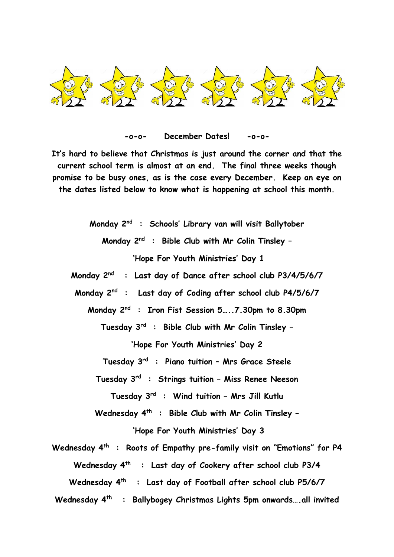

**-o-o- December Dates! -o-o-**

**It's hard to believe that Christmas is just around the corner and that the current school term is almost at an end. The final three weeks though promise to be busy ones, as is the case every December. Keep an eye on the dates listed below to know what is happening at school this month.**

> **Monday 2nd : Schools' Library van will visit Ballytober Monday 2nd : Bible Club with Mr Colin Tinsley – 'Hope For Youth Ministries' Day 1**

- **Monday 2 nd : Last day of Dance after school club P3/4/5/6/7**
- **Monday 2nd : Last day of Coding after school club P4/5/6/7**
	- **Monday 2nd : Iron Fist Session 5…..7.30pm to 8.30pm**

**Tuesday 3rd : Bible Club with Mr Colin Tinsley –**

**'Hope For Youth Ministries' Day 2**

**Tuesday 3 rd : Piano tuition – Mrs Grace Steele**

**Tuesday 3rd : Strings tuition – Miss Renee Neeson**

**Tuesday 3rd : Wind tuition – Mrs Jill Kutlu**

**Wednesday 4th : Bible Club with Mr Colin Tinsley –**

**'Hope For Youth Ministries' Day 3**

**Wednesday 4th : Roots of Empathy pre-family visit on "Emotions" for P4**

**Wednesday 4 th : Last day of Cookery after school club P3/4**

**Wednesday 4 th : Last day of Football after school club P5/6/7**

**Wednesday 4th : Ballybogey Christmas Lights 5pm onwards….all invited**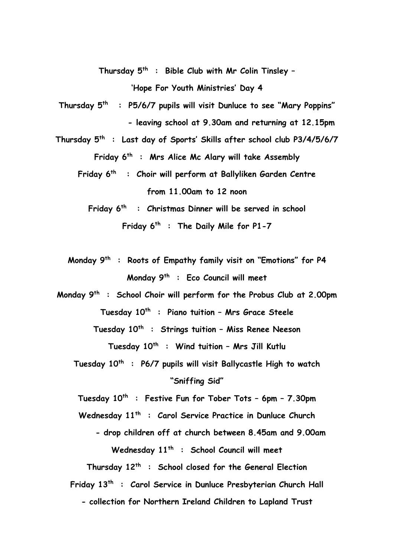**Thursday 5th : Bible Club with Mr Colin Tinsley – 'Hope For Youth Ministries' Day 4**

- **Thursday 5 th : P5/6/7 pupils will visit Dunluce to see "Mary Poppins" - leaving school at 9.30am and returning at 12.15pm**
- **Thursday 5th : Last day of Sports' Skills after school club P3/4/5/6/7 Friday 6th : Mrs Alice Mc Alary will take Assembly**
	- **Friday 6 th : Choir will perform at Ballyliken Garden Centre from 11.00am to 12 noon**
		- **Friday 6 th : Christmas Dinner will be served in school Friday 6th : The Daily Mile for P1-7**
	- **Monday 9 th : Roots of Empathy family visit on "Emotions" for P4 Monday 9th : Eco Council will meet**
- **Monday 9 th : School Choir will perform for the Probus Club at 2.00pm Tuesday 10 th : Piano tuition – Mrs Grace Steele Tuesday 10th : Strings tuition – Miss Renee Neeson Tuesday 10th : Wind tuition – Mrs Jill Kutlu**
	- **Tuesday 10th : P6/7 pupils will visit Ballycastle High to watch "Sniffing Sid"**

**Tuesday 10th : Festive Fun for Tober Tots – 6pm – 7.30pm**

**Wednesday 11th : Carol Service Practice in Dunluce Church**

 **- drop children off at church between 8.45am and 9.00am Wednesday 11th : School Council will meet**

**Thursday 12th : School closed for the General Election Friday 13 th : Carol Service in Dunluce Presbyterian Church Hall - collection for Northern Ireland Children to Lapland Trust**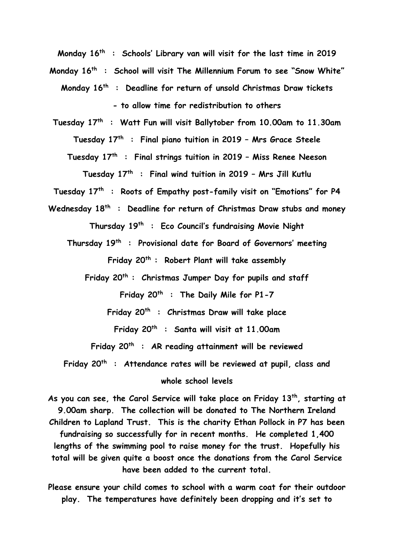**Monday 16th : Schools' Library van will visit for the last time in 2019**

**Monday 16 th : School will visit The Millennium Forum to see "Snow White" Monday 16th : Deadline for return of unsold Christmas Draw tickets**

**- to allow time for redistribution to others**

**Tuesday 17 th : Watt Fun will visit Ballytober from 10.00am to 11.30am Tuesday 17th : Final piano tuition in 2019 – Mrs Grace Steele**

**Tuesday 17th : Final strings tuition in 2019 – Miss Renee Neeson**

**Tuesday 17th : Final wind tuition in 2019 – Mrs Jill Kutlu** 

**Tuesday 17th : Roots of Empathy post-family visit on "Emotions" for P4**

**Wednesday 18 th : Deadline for return of Christmas Draw stubs and money Thursday 19 th : Eco Council's fundraising Movie Night**

**Thursday 19th : Provisional date for Board of Governors' meeting Friday 20th : Robert Plant will take assembly**

**Friday 20 th : Christmas Jumper Day for pupils and staff**

**Friday 20th : The Daily Mile for P1-7**

**Friday 20th : Christmas Draw will take place**

**Friday 20 th : Santa will visit at 11.00am**

**Friday 20th : AR reading attainment will be reviewed**

**Friday 20th : Attendance rates will be reviewed at pupil, class and** 

**whole school levels**

As you can see, the Carol Service will take place on Friday 13<sup>th</sup>, starting at **9.00am sharp. The collection will be donated to The Northern Ireland Children to Lapland Trust. This is the charity Ethan Pollock in P7 has been fundraising so successfully for in recent months. He completed 1,400 lengths of the swimming pool to raise money for the trust. Hopefully his total will be given quite a boost once the donations from the Carol Service have been added to the current total.**

**Please ensure your child comes to school with a warm coat for their outdoor play. The temperatures have definitely been dropping and it's set to**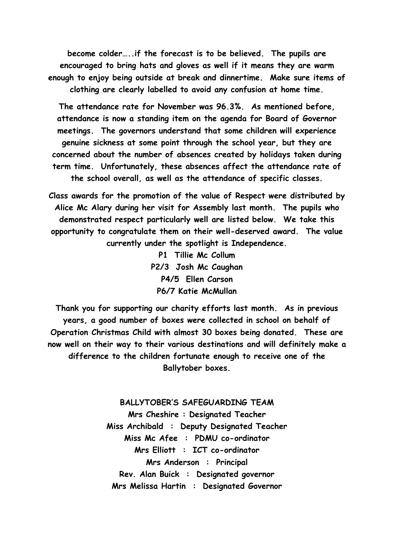**become colder…..if the forecast is to be believed. The pupils are encouraged to bring hats and gloves as well if it means they are warm enough to enjoy being outside at break and dinnertime. Make sure items of clothing are clearly labelled to avoid any confusion at home time.**

**The attendance rate for November was 96.3%. As mentioned before, attendance is now a standing item on the agenda for Board of Governor meetings. The governors understand that some children will experience genuine sickness at some point through the school year, but they are concerned about the number of absences created by holidays taken during term time. Unfortunately, these absences affect the attendance rate of the school overall, as well as the attendance of specific classes.**

**Class awards for the promotion of the value of Respect were distributed by Alice Mc Alary during her visit for Assembly last month. The pupils who demonstrated respect particularly well are listed below. We take this opportunity to congratulate them on their well-deserved award. The value currently under the spotlight is Independence.** 

> **P1 Tillie Mc Collum P2/3 Josh Mc Caughan P4/5 Ellen Carson P6/7 Katie McMullan**

**Thank you for supporting our charity efforts last month. As in previous years, a good number of boxes were collected in school on behalf of Operation Christmas Child with almost 30 boxes being donated. These are now well on their way to their various destinations and will definitely make a difference to the children fortunate enough to receive one of the Ballytober boxes.**

> **BALLYTOBER'S SAFEGUARDING TEAM Mrs Cheshire : Designated Teacher Miss Archibald : Deputy Designated Teacher Miss Mc Afee : PDMU co-ordinator Mrs Elliott : ICT co-ordinator Mrs Anderson : Principal Rev. Alan Buick : Designated governor Mrs Melissa Hartin : Designated Governor**